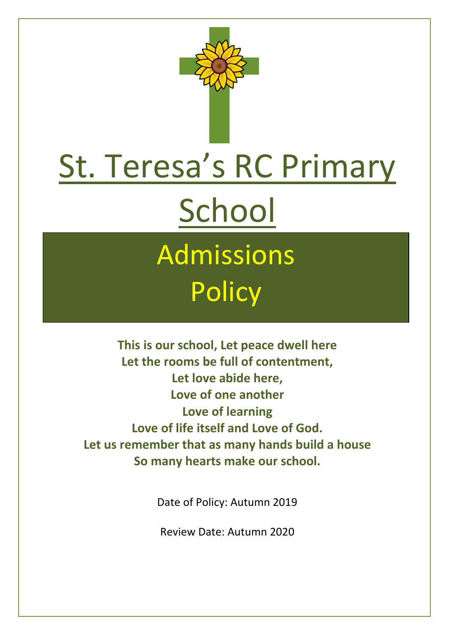

# St. Teresa's RC Primary School

## Admissions **Policy**

**This is our school, Let peace dwell here Let the rooms be full of contentment, Let love abide here, Love of one another Love of learning Love of life itself and Love of God. Let us remember that as many hands build a house So many hearts make our school.**

Date of Policy: Autumn 2019

Review Date: Autumn 2020

 $\overline{a}$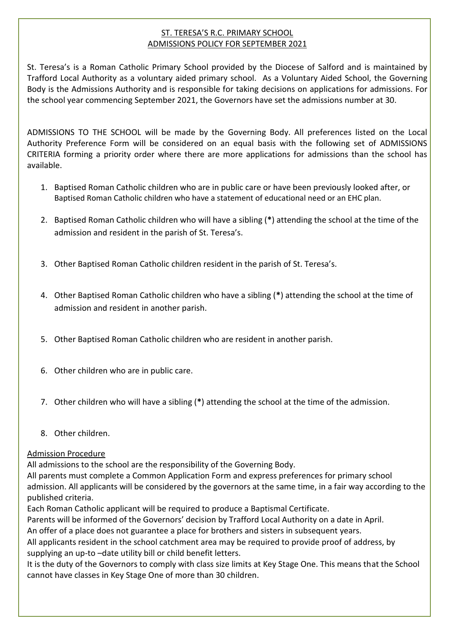### ST. TERESA'S R.C. PRIMARY SCHOOL ADMISSIONS POLICY FOR SEPTEMBER 2021

St. Teresa's is a Roman Catholic Primary School provided by the Diocese of Salford and is maintained by Trafford Local Authority as a voluntary aided primary school. As a Voluntary Aided School, the Governing Body is the Admissions Authority and is responsible for taking decisions on applications for admissions. For the school year commencing September 2021, the Governors have set the admissions number at 30.

ADMISSIONS TO THE SCHOOL will be made by the Governing Body. All preferences listed on the Local Authority Preference Form will be considered on an equal basis with the following set of ADMISSIONS CRITERIA forming a priority order where there are more applications for admissions than the school has available.

- 1. Baptised Roman Catholic children who are in public care or have been previously looked after, or Baptised Roman Catholic children who have a statement of educational need or an EHC plan.
- 2. Baptised Roman Catholic children who will have a sibling (**\***) attending the school at the time of the admission and resident in the parish of St. Teresa's.
- 3. Other Baptised Roman Catholic children resident in the parish of St. Teresa's.
- 4. Other Baptised Roman Catholic children who have a sibling (**\***) attending the school at the time of admission and resident in another parish.
- 5. Other Baptised Roman Catholic children who are resident in another parish.
- 6. Other children who are in public care.
- 7. Other children who will have a sibling (**\***) attending the school at the time of the admission.
- 8. Other children.

#### Admission Procedure

 $\overline{a}$ 

All admissions to the school are the responsibility of the Governing Body.

All parents must complete a Common Application Form and express preferences for primary school admission. All applicants will be considered by the governors at the same time, in a fair way according to the published criteria.

Each Roman Catholic applicant will be required to produce a Baptismal Certificate.

Parents will be informed of the Governors' decision by Trafford Local Authority on a date in April.

An offer of a place does not guarantee a place for brothers and sisters in subsequent years.

All applicants resident in the school catchment area may be required to provide proof of address, by supplying an up-to –date utility bill or child benefit letters.

It is the duty of the Governors to comply with class size limits at Key Stage One. This means that the School cannot have classes in Key Stage One of more than 30 children.